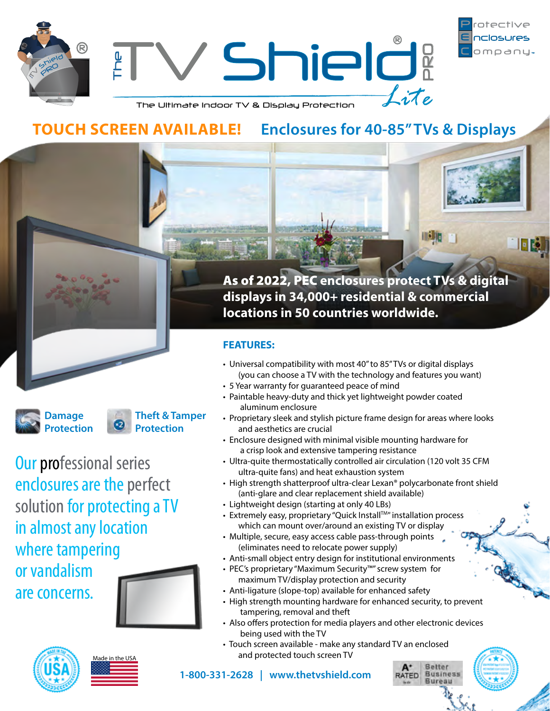

FR.

Shield?  $\mathbf{r}$  $\perp$ ite

The Ultimate Indoor TV & Display Protection

# **TOUCH SCREEN AVAILABLE! Enclosures for 40-85" TVs & Displays**

**Tisk** 



**Protection Theft & Tamper Protection**

Our professional series enclosures are the perfect solution for protecting a TV in almost any location where tampering or vandalism are concerns.





Made in the USA

As of 2022, PEC **enclosures protect TVs & digital displays in 34,000+ residential & commercial locations in 50 countries worldwide.**

## **FEATURES:**

- Universal compatibility with most 40" to 85" TVs or digital displays (you can choose a TV with the technology and features you want)
- 5 Year warranty for guaranteed peace of mind
- Paintable heavy-duty and thick yet lightweight powder coated aluminum enclosure
- Proprietary sleek and stylish picture frame design for areas where looks and aesthetics are crucial
- Enclosure designed with minimal visible mounting hardware for a crisp look and extensive tampering resistance
- Ultra-quite thermostatically controlled air circulation (120 volt 35 CFM ultra-quite fans) and heat exhaustion system
- High strength shatterproof ultra-clear Lexan® polycarbonate front shield (anti-glare and clear replacement shield available)
- Lightweight design (starting at only 40 LBs)

**1-800-331-2628 | www.thetvshield.com**

- Extremely easy, proprietary "Quick Install<sup>™</sup> installation process which can mount over/around an existing TV or display
- Multiple, secure, easy access cable pass-through points (eliminates need to relocate power supply)
- Anti-small object entry design for institutional environments
- PEC's proprietary "Maximum Security™" screw system for maximum TV/display protection and security
- Anti-ligature (slope-top) available for enhanced safety
- High strength mounting hardware for enhanced security, to prevent tampering, removal and theft
- Also offers protection for media players and other electronic devices being used with the TV

**Batter** 

**Business** Rureau

**RATED** 

• Touch screen available - make any standard TV an enclosed and protected touch screen TV